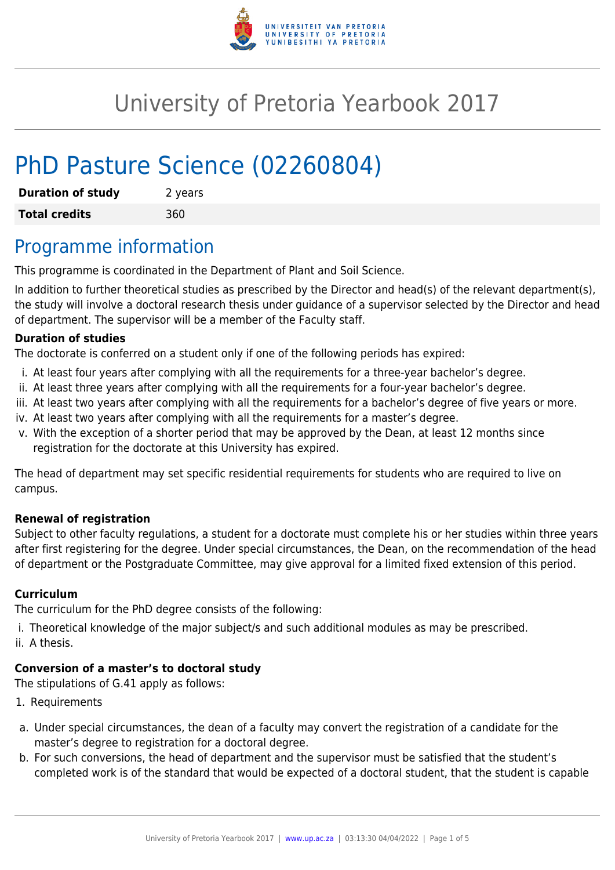

# University of Pretoria Yearbook 2017

# PhD Pasture Science (02260804)

| <b>Duration of study</b> | 2 years |
|--------------------------|---------|
| <b>Total credits</b>     | 360     |

### Programme information

This programme is coordinated in the Department of Plant and Soil Science.

In addition to further theoretical studies as prescribed by the Director and head(s) of the relevant department(s), the study will involve a doctoral research thesis under guidance of a supervisor selected by the Director and head of department. The supervisor will be a member of the Faculty staff.

#### **Duration of studies**

The doctorate is conferred on a student only if one of the following periods has expired:

- i. At least four years after complying with all the requirements for a three-year bachelor's degree.
- ii. At least three years after complying with all the requirements for a four-year bachelor's degree.
- iii. At least two years after complying with all the requirements for a bachelor's degree of five years or more.
- iv. At least two years after complying with all the requirements for a master's degree.
- v. With the exception of a shorter period that may be approved by the Dean, at least 12 months since registration for the doctorate at this University has expired.

The head of department may set specific residential requirements for students who are required to live on campus.

#### **Renewal of registration**

Subject to other faculty regulations, a student for a doctorate must complete his or her studies within three years after first registering for the degree. Under special circumstances, the Dean, on the recommendation of the head of department or the Postgraduate Committee, may give approval for a limited fixed extension of this period.

### **Curriculum**

The curriculum for the PhD degree consists of the following:

- i. Theoretical knowledge of the major subject/s and such additional modules as may be prescribed.
- ii. A thesis.

### **Conversion of a master's to doctoral study**

The stipulations of G.41 apply as follows:

- 1. Requirements
- a. Under special circumstances, the dean of a faculty may convert the registration of a candidate for the master's degree to registration for a doctoral degree.
- b. For such conversions, the head of department and the supervisor must be satisfied that the student's completed work is of the standard that would be expected of a doctoral student, that the student is capable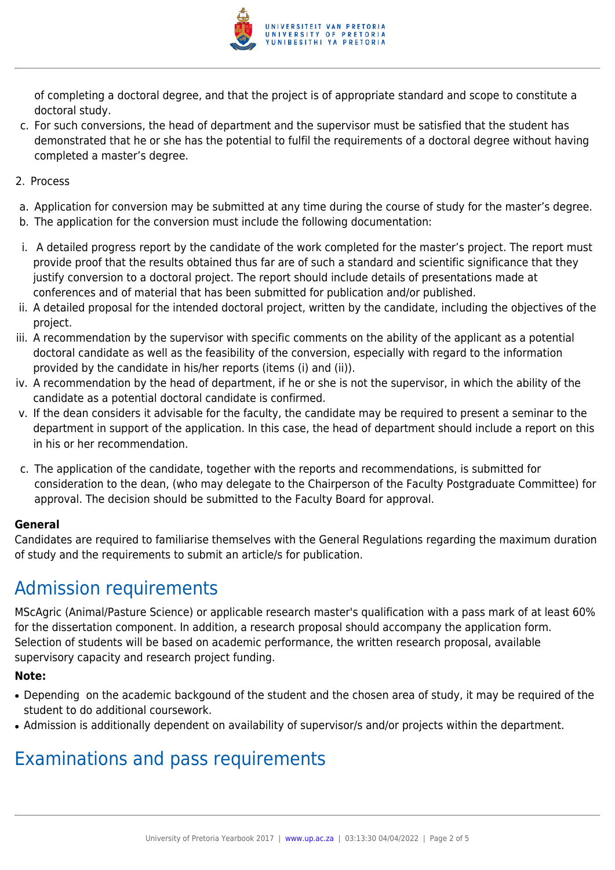

of completing a doctoral degree, and that the project is of appropriate standard and scope to constitute a doctoral study.

- c. For such conversions, the head of department and the supervisor must be satisfied that the student has demonstrated that he or she has the potential to fulfil the requirements of a doctoral degree without having completed a master's degree.
- 2. Process
- a. Application for conversion may be submitted at any time during the course of study for the master's degree.
- b. The application for the conversion must include the following documentation:
- i. A detailed progress report by the candidate of the work completed for the master's project. The report must provide proof that the results obtained thus far are of such a standard and scientific significance that they justify conversion to a doctoral project. The report should include details of presentations made at conferences and of material that has been submitted for publication and/or published.
- ii. A detailed proposal for the intended doctoral project, written by the candidate, including the objectives of the project.
- iii. A recommendation by the supervisor with specific comments on the ability of the applicant as a potential doctoral candidate as well as the feasibility of the conversion, especially with regard to the information provided by the candidate in his/her reports (items (i) and (ii)).
- iv. A recommendation by the head of department, if he or she is not the supervisor, in which the ability of the candidate as a potential doctoral candidate is confirmed.
- v. If the dean considers it advisable for the faculty, the candidate may be required to present a seminar to the department in support of the application. In this case, the head of department should include a report on this in his or her recommendation.
- c. The application of the candidate, together with the reports and recommendations, is submitted for consideration to the dean, (who may delegate to the Chairperson of the Faculty Postgraduate Committee) for approval. The decision should be submitted to the Faculty Board for approval.

### **General**

Candidates are required to familiarise themselves with the General Regulations regarding the maximum duration of study and the requirements to submit an article/s for publication.

## Admission requirements

MScAgric (Animal/Pasture Science) or applicable research master's qualification with a pass mark of at least 60% for the dissertation component. In addition, a research proposal should accompany the application form. Selection of students will be based on academic performance, the written research proposal, available supervisory capacity and research project funding.

### **Note:**

- Depending on the academic backgound of the student and the chosen area of study, it may be required of the student to do additional coursework.
- Admission is additionally dependent on availability of supervisor/s and/or projects within the department.

## Examinations and pass requirements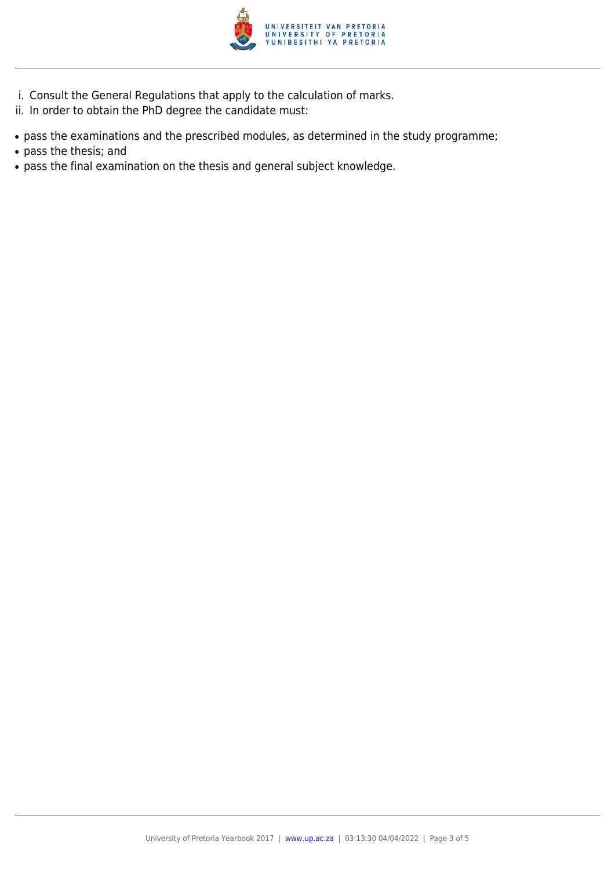

- i. Consult the General Regulations that apply to the calculation of marks.
- ii. In order to obtain the PhD degree the candidate must:
- pass the examinations and the prescribed modules, as determined in the study programme;
- pass the thesis; and
- pass the final examination on the thesis and general subject knowledge.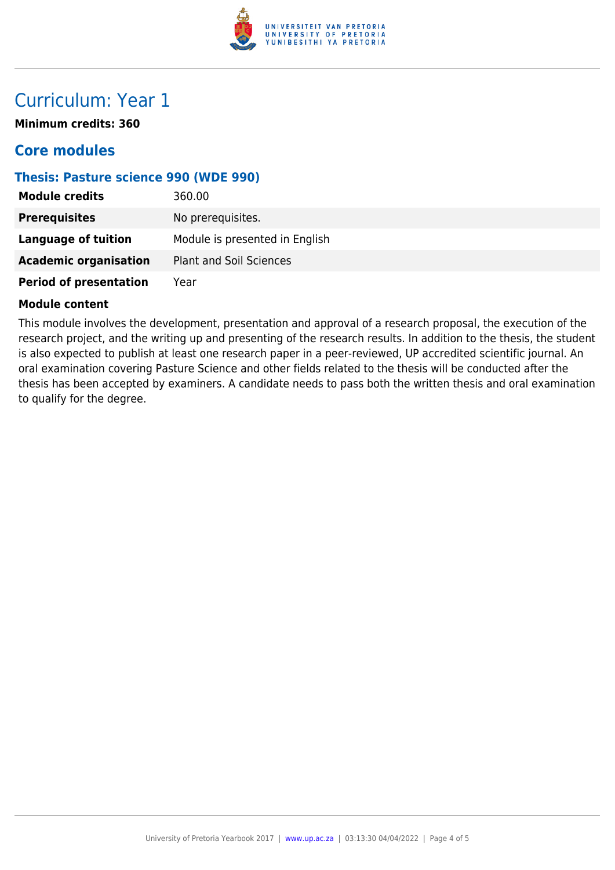

### Curriculum: Year 1

**Minimum credits: 360**

### **Core modules**

### **Thesis: Pasture science 990 (WDE 990)**

| <b>Module credits</b>         | 360.00                         |
|-------------------------------|--------------------------------|
| <b>Prerequisites</b>          | No prerequisites.              |
| <b>Language of tuition</b>    | Module is presented in English |
| <b>Academic organisation</b>  | <b>Plant and Soil Sciences</b> |
| <b>Period of presentation</b> | Year                           |

#### **Module content**

This module involves the development, presentation and approval of a research proposal, the execution of the research project, and the writing up and presenting of the research results. In addition to the thesis, the student is also expected to publish at least one research paper in a peer-reviewed, UP accredited scientific journal. An oral examination covering Pasture Science and other fields related to the thesis will be conducted after the thesis has been accepted by examiners. A candidate needs to pass both the written thesis and oral examination to qualify for the degree.